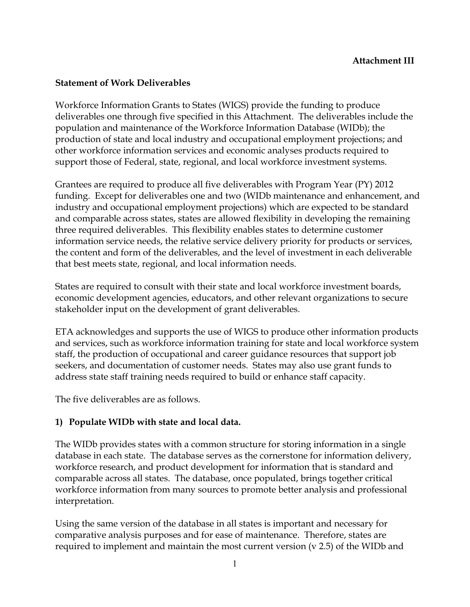#### **Statement of Work Deliverables**

Workforce Information Grants to States (WIGS) provide the funding to produce deliverables one through five specified in this Attachment. The deliverables include the population and maintenance of the Workforce Information Database (WIDb); the production of state and local industry and occupational employment projections; and other workforce information services and economic analyses products required to support those of Federal, state, regional, and local workforce investment systems.

Grantees are required to produce all five deliverables with Program Year (PY) 2012 funding. Except for deliverables one and two (WIDb maintenance and enhancement, and industry and occupational employment projections) which are expected to be standard and comparable across states, states are allowed flexibility in developing the remaining three required deliverables. This flexibility enables states to determine customer information service needs, the relative service delivery priority for products or services, the content and form of the deliverables, and the level of investment in each deliverable that best meets state, regional, and local information needs.

States are required to consult with their state and local workforce investment boards, economic development agencies, educators, and other relevant organizations to secure stakeholder input on the development of grant deliverables.

ETA acknowledges and supports the use of WIGS to produce other information products and services, such as workforce information training for state and local workforce system staff, the production of occupational and career guidance resources that support job seekers, and documentation of customer needs. States may also use grant funds to address state staff training needs required to build or enhance staff capacity.

The five deliverables are as follows.

#### **1) Populate WIDb with state and local data.**

The WIDb provides states with a common structure for storing information in a single database in each state. The database serves as the cornerstone for information delivery, workforce research, and product development for information that is standard and comparable across all states. The database, once populated, brings together critical workforce information from many sources to promote better analysis and professional interpretation.

Using the same version of the database in all states is important and necessary for comparative analysis purposes and for ease of maintenance. Therefore, states are required to implement and maintain the most current version (v 2.5) of the WIDb and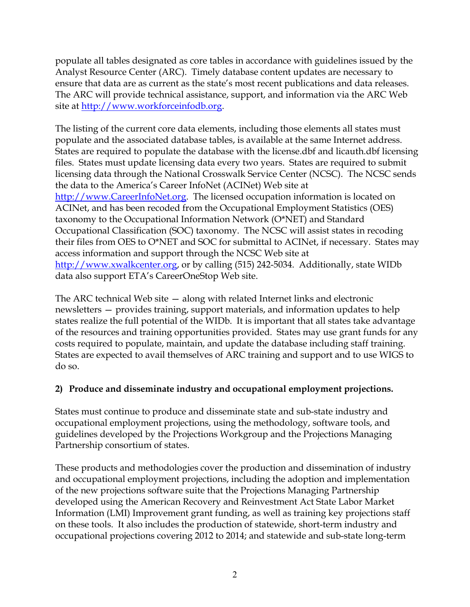populate all tables designated as core tables in accordance with guidelines issued by the Analyst Resource Center (ARC). Timely database content updates are necessary to ensure that data are as current as the state's most recent publications and data releases. The ARC will provide technical assistance, support, and information via the ARC Web site at [http://www.workforceinfodb.org.](http://www.workforceinfodb.org/)

The listing of the current core data elements, including those elements all states must populate and the associated database tables, is available at the same Internet address. States are required to populate the database with the license.dbf and licauth.dbf licensing files. States must update licensing data every two years. States are required to submit licensing data through the National Crosswalk Service Center (NCSC). The NCSC sends the data to the America's Career InfoNet (ACINet) Web site at [http://www.CareerInfoNet.org.](http://www.careerinfonet.org/) The licensed occupation information is located on ACINet, and has been recoded from the Occupational Employment Statistics (OES) taxonomy to the Occupational Information Network (O\*NET) and Standard Occupational Classification (SOC) taxonomy. The NCSC will assist states in recoding their files from OES to O\*NET and SOC for submittal to ACINet, if necessary. States may access information and support through the NCSC Web site at [http://www.xwalkcenter.org,](http://www.xwalkcenter.org/) or by calling (515) 242-5034. Additionally, state WIDb data also support ETA's CareerOneStop Web site.

The ARC technical Web site — along with related Internet links and electronic newsletters — provides training, support materials, and information updates to help states realize the full potential of the WIDb. It is important that all states take advantage of the resources and training opportunities provided. States may use grant funds for any costs required to populate, maintain, and update the database including staff training. States are expected to avail themselves of ARC training and support and to use WIGS to do so.

# **2) Produce and disseminate industry and occupational employment projections.**

States must continue to produce and disseminate state and sub-state industry and occupational employment projections, using the methodology, software tools, and guidelines developed by the Projections Workgroup and the Projections Managing Partnership consortium of states.

These products and methodologies cover the production and dissemination of industry and occupational employment projections, including the adoption and implementation of the new projections software suite that the Projections Managing Partnership developed using the American Recovery and Reinvestment Act State Labor Market Information (LMI) Improvement grant funding, as well as training key projections staff on these tools. It also includes the production of statewide, short-term industry and occupational projections covering 2012 to 2014; and statewide and sub-state long-term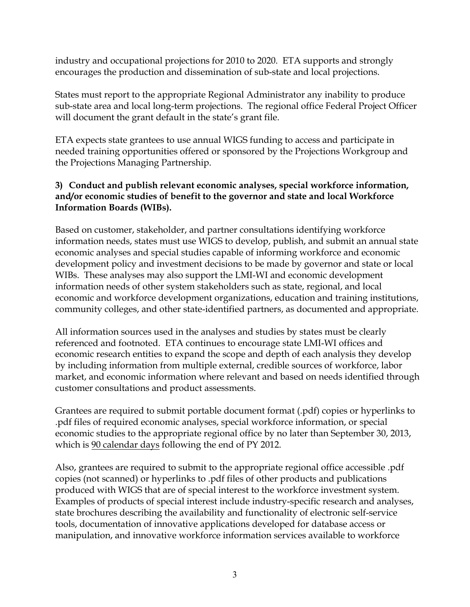industry and occupational projections for 2010 to 2020. ETA supports and strongly encourages the production and dissemination of sub-state and local projections.

States must report to the appropriate Regional Administrator any inability to produce sub-state area and local long-term projections. The regional office Federal Project Officer will document the grant default in the state's grant file.

ETA expects state grantees to use annual WIGS funding to access and participate in needed training opportunities offered or sponsored by the Projections Workgroup and the Projections Managing Partnership.

## **3) Conduct and publish relevant economic analyses, special workforce information, and/or economic studies of benefit to the governor and state and local Workforce Information Boards (WIBs).**

Based on customer, stakeholder, and partner consultations identifying workforce information needs, states must use WIGS to develop, publish, and submit an annual state economic analyses and special studies capable of informing workforce and economic development policy and investment decisions to be made by governor and state or local WIBs. These analyses may also support the LMI-WI and economic development information needs of other system stakeholders such as state, regional, and local economic and workforce development organizations, education and training institutions, community colleges, and other state-identified partners, as documented and appropriate.

All information sources used in the analyses and studies by states must be clearly referenced and footnoted. ETA continues to encourage state LMI-WI offices and economic research entities to expand the scope and depth of each analysis they develop by including information from multiple external, credible sources of workforce, labor market, and economic information where relevant and based on needs identified through customer consultations and product assessments.

Grantees are required to submit portable document format (.pdf) copies or hyperlinks to .pdf files of required economic analyses, special workforce information, or special economic studies to the appropriate regional office by no later than September 30, 2013, which is  $90$  calendar days following the end of PY 2012.

Also, grantees are required to submit to the appropriate regional office accessible .pdf copies (not scanned) or hyperlinks to .pdf files of other products and publications produced with WIGS that are of special interest to the workforce investment system. Examples of products of special interest include industry-specific research and analyses, state brochures describing the availability and functionality of electronic self-service tools, documentation of innovative applications developed for database access or manipulation, and innovative workforce information services available to workforce